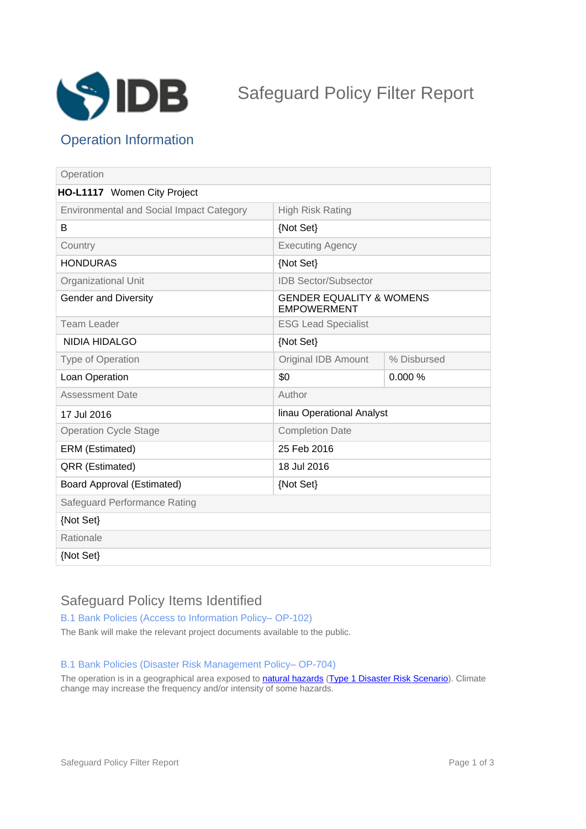

# Safeguard Policy Filter Report

## Operation Information

| Operation                                       |                                                           |             |
|-------------------------------------------------|-----------------------------------------------------------|-------------|
| HO-L1117 Women City Project                     |                                                           |             |
| <b>Environmental and Social Impact Category</b> | <b>High Risk Rating</b>                                   |             |
| B                                               | {Not Set}                                                 |             |
| Country                                         | <b>Executing Agency</b>                                   |             |
| <b>HONDURAS</b>                                 | {Not Set}                                                 |             |
| Organizational Unit                             | <b>IDB Sector/Subsector</b>                               |             |
| <b>Gender and Diversity</b>                     | <b>GENDER EQUALITY &amp; WOMENS</b><br><b>EMPOWERMENT</b> |             |
| <b>Team Leader</b>                              | <b>ESG Lead Specialist</b>                                |             |
| <b>NIDIA HIDALGO</b>                            | {Not Set}                                                 |             |
| Type of Operation                               | Original IDB Amount                                       | % Disbursed |
| Loan Operation                                  | \$0                                                       | 0.000%      |
| <b>Assessment Date</b>                          | Author                                                    |             |
| 17 Jul 2016                                     | linau Operational Analyst                                 |             |
| <b>Operation Cycle Stage</b>                    | <b>Completion Date</b>                                    |             |
| ERM (Estimated)                                 | 25 Feb 2016                                               |             |
| QRR (Estimated)                                 | 18 Jul 2016                                               |             |
| Board Approval (Estimated)                      | {Not Set}                                                 |             |
| Safeguard Performance Rating                    |                                                           |             |
| {Not Set}                                       |                                                           |             |
| Rationale                                       |                                                           |             |
| {Not Set}                                       |                                                           |             |

## Safeguard Policy Items Identified

B.1 Bank Policies (Access to Information Policy-OP-102)

The Bank will make the relevant project documents available to the public.

#### B.1 Bank Policies (Disaster Risk Management Policy-OP-704)

The operation is in a geographical area exposed to **[natural hazards](javascript:ShowTerm() [\(Type 1 Disaster Risk Scenario](javascript:ShowTerm()**). Climate change may increase the frequency and/or intensity of some hazards.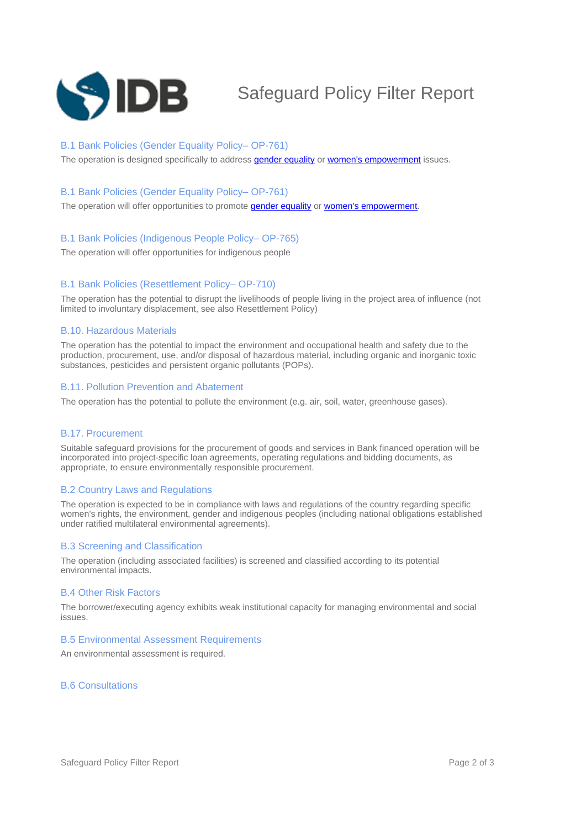

# Safeguard Policy Filter Report

#### B.1 Bank Policies (Gender Equality Policy-OP-761)

The operation is designed specifically to address [gender equality](javascript:ShowTerm() or [women's empowerment](javascript:ShowTerm() issues.

#### B.1 Bank Policies (Gender Equality Policy-OP-761)

The operation will offer opportunities to promote **[gender equality](javascript:ShowTerm()** or **women's empowerment**.

#### B.1 Bank Policies (Indigenous People Policy-OP-765)

The operation will offer opportunities for indigenous people

#### B.1 Bank Policies (Resettlement Policy-OP-710)

The operation has the potential to disrupt the livelihoods of people living in the project area of influence (not limited to involuntary displacement, see also Resettlement Policy)

#### B.10. Hazardous Materials

The operation has the potential to impact the environment and occupational health and safety due to the production, procurement, use, and/or disposal of hazardous material, including organic and inorganic toxic substances, pesticides and persistent organic pollutants (POPs).

#### B.11. Pollution Prevention and Abatement

The operation has the potential to pollute the environment (e.g. air, soil, water, greenhouse gases).

#### B.17. Procurement

Suitable safeguard provisions for the procurement of goods and services in Bank financed operation will be incorporated into project-specific loan agreements, operating regulations and bidding documents, as appropriate, to ensure environmentally responsible procurement.

#### B.2 Country Laws and Regulations

The operation is expected to be in compliance with laws and regulations of the country regarding specific women's rights, the environment, gender and indigenous peoples (including national obligations established under ratified multilateral environmental agreements).

#### B.3 Screening and Classification

The operation (including associated facilities) is screened and classified according to its potential environmental impacts.

#### B.4 Other Risk Factors

The borrower/executing agency exhibits weak institutional capacity for managing environmental and social issues.

#### B.5 Environmental Assessment Requirements

An environmental assessment is required.

#### B.6 Consultations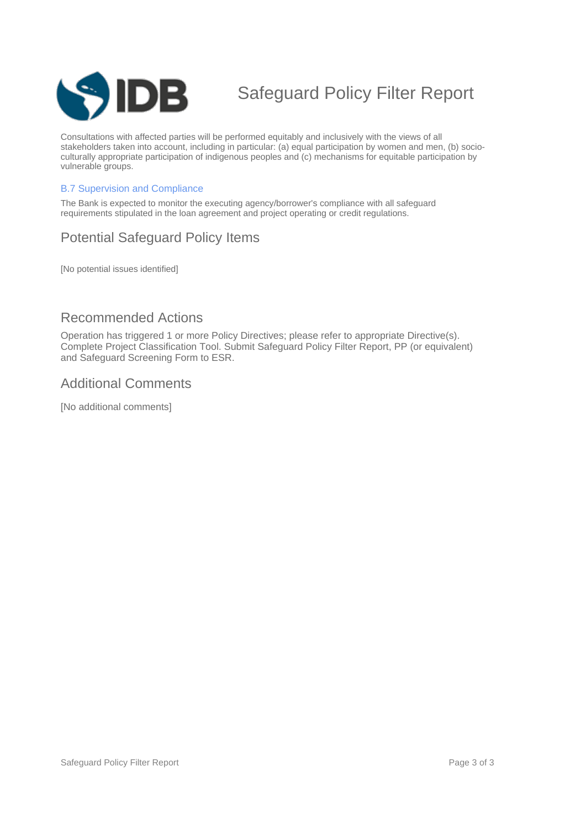

# Safeguard Policy Filter Report

Consultations with affected parties will be performed equitably and inclusively with the views of all stakeholders taken into account, including in particular: (a) equal participation by women and men, (b) socioculturally appropriate participation of indigenous peoples and (c) mechanisms for equitable participation by vulnerable groups.

#### B.7 Supervision and Compliance

The Bank is expected to monitor the executing agency/borrower's compliance with all safeguard requirements stipulated in the loan agreement and project operating or credit regulations.

## Potential Safeguard Policy Items

[No potential issues identified]

### Recommended Actions

Operation has triggered 1 or more Policy Directives; please refer to appropriate Directive(s). Complete Project Classification Tool. Submit Safeguard Policy Filter Report, PP (or equivalent) and Safeguard Screening Form to ESR.

### Additional Comments

[No additional comments]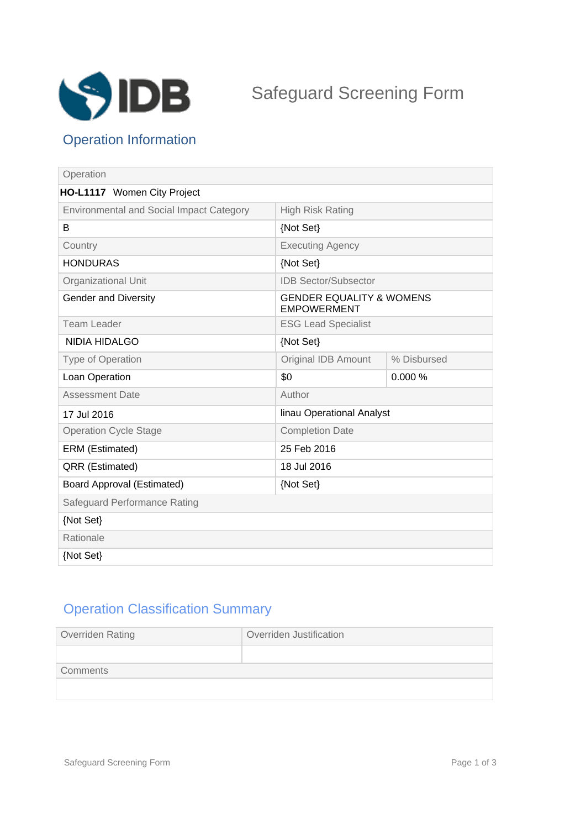

## Operation Information

| Operation                                       |                                                           |             |
|-------------------------------------------------|-----------------------------------------------------------|-------------|
| HO-L1117 Women City Project                     |                                                           |             |
| <b>Environmental and Social Impact Category</b> | <b>High Risk Rating</b>                                   |             |
| B                                               | {Not Set}                                                 |             |
| Country                                         | <b>Executing Agency</b>                                   |             |
| <b>HONDURAS</b>                                 | {Not Set}                                                 |             |
| Organizational Unit                             | <b>IDB Sector/Subsector</b>                               |             |
| <b>Gender and Diversity</b>                     | <b>GENDER EQUALITY &amp; WOMENS</b><br><b>EMPOWERMENT</b> |             |
| <b>Team Leader</b>                              | <b>ESG Lead Specialist</b>                                |             |
| <b>NIDIA HIDALGO</b>                            | {Not Set}                                                 |             |
| <b>Type of Operation</b>                        | <b>Original IDB Amount</b>                                | % Disbursed |
| Loan Operation                                  | \$0                                                       | 0.000%      |
| <b>Assessment Date</b>                          | Author                                                    |             |
| 17 Jul 2016                                     | linau Operational Analyst                                 |             |
| <b>Operation Cycle Stage</b>                    | <b>Completion Date</b>                                    |             |
| ERM (Estimated)                                 | 25 Feb 2016                                               |             |
| QRR (Estimated)                                 | 18 Jul 2016                                               |             |
| <b>Board Approval (Estimated)</b>               | {Not Set}                                                 |             |
| Safeguard Performance Rating                    |                                                           |             |
| {Not Set}                                       |                                                           |             |
| Rationale                                       |                                                           |             |
| {Not Set}                                       |                                                           |             |

## Operation Classification Summary

| Overriden Rating | Overriden Justification |
|------------------|-------------------------|
|                  |                         |
| Comments         |                         |
|                  |                         |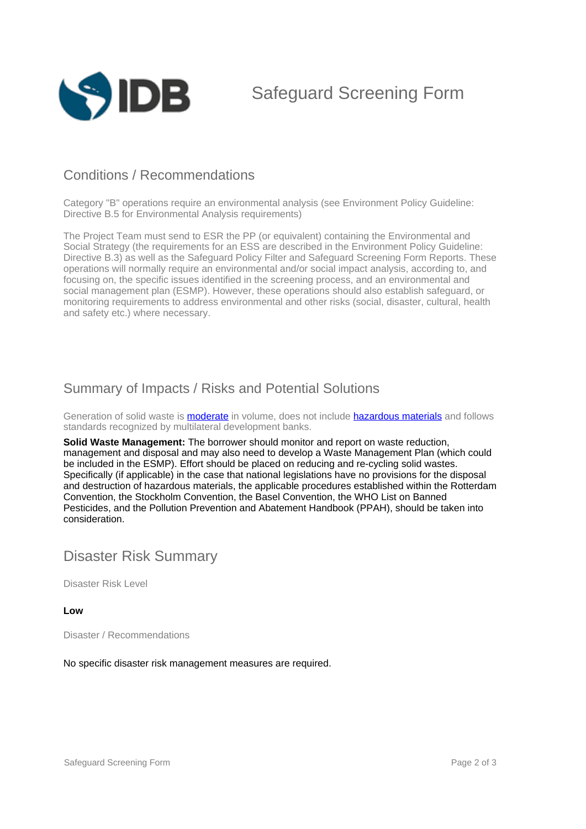

Safeguard Screening Form

## Conditions / Recommendations

Category "B" operations require an environmental analysis (see Environment Policy Guideline: Directive B.5 for Environmental Analysis requirements)

The Project Team must send to ESR the PP (or equivalent) containing the Environmental and Social Strategy (the requirements for an ESS are described in the Environment Policy Guideline: Directive B.3) as well as the Safeguard Policy Filter and Safeguard Screening Form Reports. These operations will normally require an environmental and/or social impact analysis, according to, and focusing on, the specific issues identified in the screening process, and an environmental and social management plan (ESMP). However, these operations should also establish safeguard, or monitoring requirements to address environmental and other risks (social, disaster, cultural, health and safety etc.) where necessary.

## Summary of Impacts / Risks and Potential Solutions

Generation of solid waste is **moderate** in volume, does not include **hazardous materials** and follows standards recognized by multilateral development banks.

**Solid Waste Management:** The borrower should monitor and report on waste reduction, management and disposal and may also need to develop a Waste Management Plan (which could be included in the ESMP). Effort should be placed on reducing and re-cycling solid wastes. Specifically (if applicable) in the case that national legislations have no provisions for the disposal and destruction of hazardous materials, the applicable procedures established within the Rotterdam Convention, the Stockholm Convention, the Basel Convention, the WHO List on Banned Pesticides, and the Pollution Prevention and Abatement Handbook (PPAH), should be taken into consideration.

## Disaster Risk Summary

Disaster Risk Level

#### **Low**

Disaster / Recommendations

No specific disaster risk management measures are required.